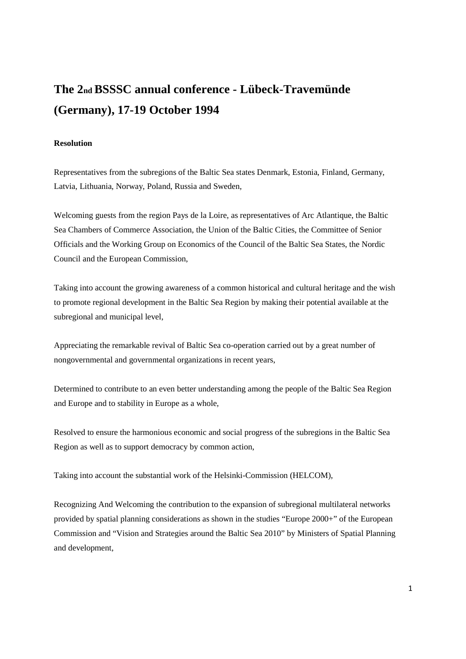# **The 2nd BSSSC annual conference - Lübeck-Travemünde (Germany), 17-19 October 1994**

# **Resolution**

Representatives from the subregions of the Baltic Sea states Denmark, Estonia, Finland, Germany, Latvia, Lithuania, Norway, Poland, Russia and Sweden,

Welcoming guests from the region Pays de la Loire, as representatives of Arc Atlantique, the Baltic Sea Chambers of Commerce Association, the Union of the Baltic Cities, the Committee of Senior Officials and the Working Group on Economics of the Council of the Baltic Sea States, the Nordic Council and the European Commission,

Taking into account the growing awareness of a common historical and cultural heritage and the wish to promote regional development in the Baltic Sea Region by making their potential available at the subregional and municipal level,

Appreciating the remarkable revival of Baltic Sea co-operation carried out by a great number of nongovernmental and governmental organizations in recent years,

Determined to contribute to an even better understanding among the people of the Baltic Sea Region and Europe and to stability in Europe as a whole,

Resolved to ensure the harmonious economic and social progress of the subregions in the Baltic Sea Region as well as to support democracy by common action,

Taking into account the substantial work of the Helsinki-Commission (HELCOM),

Recognizing And Welcoming the contribution to the expansion of subregional multilateral networks provided by spatial planning considerations as shown in the studies "Europe 2000+" of the European Commission and "Vision and Strategies around the Baltic Sea 2010" by Ministers of Spatial Planning and development,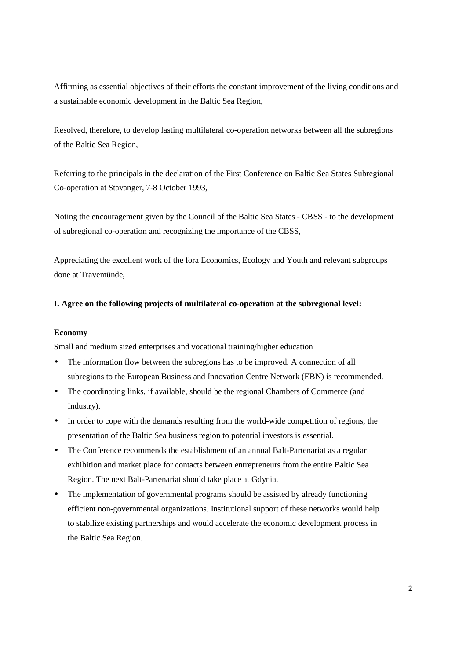Affirming as essential objectives of their efforts the constant improvement of the living conditions and a sustainable economic development in the Baltic Sea Region,

Resolved, therefore, to develop lasting multilateral co-operation networks between all the subregions of the Baltic Sea Region,

Referring to the principals in the declaration of the First Conference on Baltic Sea States Subregional Co-operation at Stavanger, 7-8 October 1993,

Noting the encouragement given by the Council of the Baltic Sea States - CBSS - to the development of subregional co-operation and recognizing the importance of the CBSS,

Appreciating the excellent work of the fora Economics, Ecology and Youth and relevant subgroups done at Travemünde,

## **I. Agree on the following projects of multilateral co-operation at the subregional level:**

## **Economy**

Small and medium sized enterprises and vocational training/higher education

- The information flow between the subregions has to be improved. A connection of all subregions to the European Business and Innovation Centre Network (EBN) is recommended.
- The coordinating links, if available, should be the regional Chambers of Commerce (and Industry).
- In order to cope with the demands resulting from the world-wide competition of regions, the presentation of the Baltic Sea business region to potential investors is essential.
- The Conference recommends the establishment of an annual Balt-Partenariat as a regular exhibition and market place for contacts between entrepreneurs from the entire Baltic Sea Region. The next Balt-Partenariat should take place at Gdynia.
- The implementation of governmental programs should be assisted by already functioning efficient non-governmental organizations. Institutional support of these networks would help to stabilize existing partnerships and would accelerate the economic development process in the Baltic Sea Region.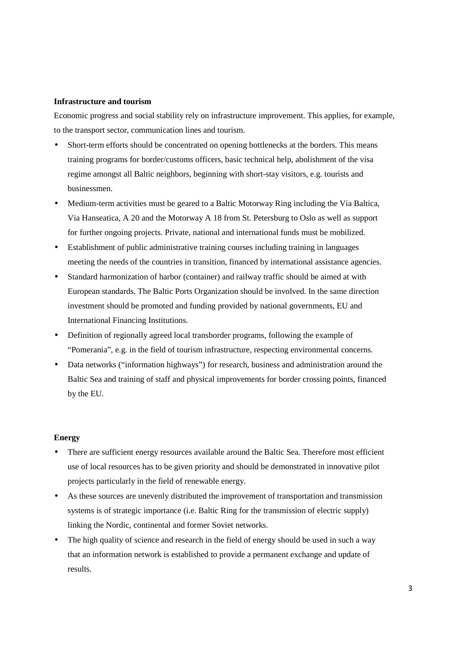## **Infrastructure and tourism**

Economic progress and social stability rely on infrastructure improvement. This applies, for example, to the transport sector, communication lines and tourism.

- Short-term efforts should be concentrated on opening bottlenecks at the borders. This means training programs for border/customs officers, basic technical help, abolishment of the visa regime amongst all Baltic neighbors, beginning with short-stay visitors, e.g. tourists and businessmen.
- Medium-term activities must be geared to a Baltic Motorway Ring including the Via Baltica, Via Hanseatica, A 20 and the Motorway A 18 from St. Petersburg to Oslo as well as support for further ongoing projects. Private, national and international funds must be mobilized.
- Establishment of public administrative training courses including training in languages meeting the needs of the countries in transition, financed by international assistance agencies.
- Standard harmonization of harbor (container) and railway traffic should be aimed at with European standards. The Baltic Ports Organization should be involved. In the same direction investment should be promoted and funding provided by national governments, EU and International Financing Institutions.
- Definition of regionally agreed local transborder programs, following the example of "Pomerania", e.g. in the field of tourism infrastructure, respecting environmental concerns.
- Data networks ("information highways") for research, business and administration around the Baltic Sea and training of staff and physical improvements for border crossing points, financed by the EU.

#### **Energy**

- There are sufficient energy resources available around the Baltic Sea. Therefore most efficient use of local resources has to be given priority and should be demonstrated in innovative pilot projects particularly in the field of renewable energy.
- As these sources are unevenly distributed the improvement of transportation and transmission systems is of strategic importance (i.e. Baltic Ring for the transmission of electric supply) linking the Nordic, continental and former Soviet networks.
- The high quality of science and research in the field of energy should be used in such a way that an information network is established to provide a permanent exchange and update of results.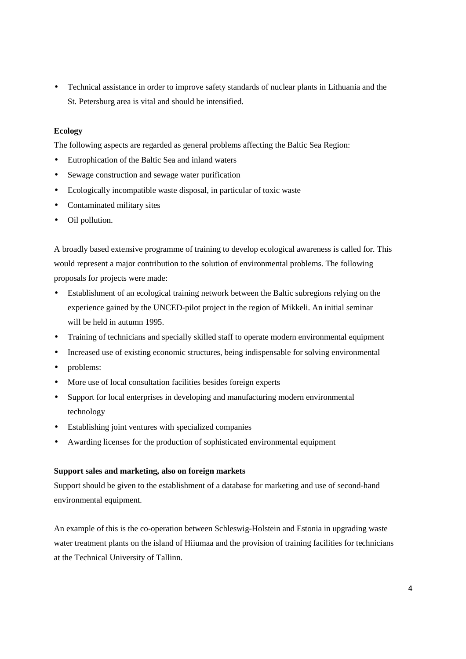• Technical assistance in order to improve safety standards of nuclear plants in Lithuania and the St. Petersburg area is vital and should be intensified.

# **Ecology**

The following aspects are regarded as general problems affecting the Baltic Sea Region:

- Eutrophication of the Baltic Sea and inland waters
- Sewage construction and sewage water purification
- Ecologically incompatible waste disposal, in particular of toxic waste
- Contaminated military sites
- Oil pollution.

A broadly based extensive programme of training to develop ecological awareness is called for. This would represent a major contribution to the solution of environmental problems. The following proposals for projects were made:

- Establishment of an ecological training network between the Baltic subregions relying on the experience gained by the UNCED-pilot project in the region of Mikkeli. An initial seminar will be held in autumn 1995.
- Training of technicians and specially skilled staff to operate modern environmental equipment
- Increased use of existing economic structures, being indispensable for solving environmental
- problems:
- More use of local consultation facilities besides foreign experts
- Support for local enterprises in developing and manufacturing modern environmental technology
- Establishing joint ventures with specialized companies
- Awarding licenses for the production of sophisticated environmental equipment

# **Support sales and marketing, also on foreign markets**

Support should be given to the establishment of a database for marketing and use of second-hand environmental equipment.

An example of this is the co-operation between Schleswig-Holstein and Estonia in upgrading waste water treatment plants on the island of Hiiumaa and the provision of training facilities for technicians at the Technical University of Tallinn.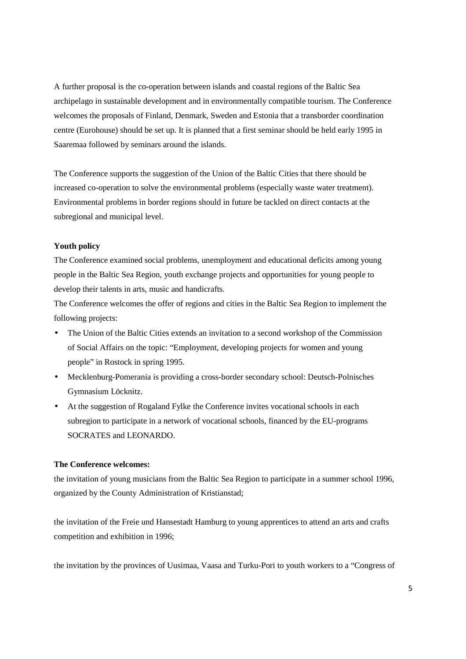A further proposal is the co-operation between islands and coastal regions of the Baltic Sea archipelago in sustainable development and in environmentally compatible tourism. The Conference welcomes the proposals of Finland, Denmark, Sweden and Estonia that a transborder coordination centre (Eurohouse) should be set up. It is planned that a first seminar should be held early 1995 in Saaremaa followed by seminars around the islands.

The Conference supports the suggestion of the Union of the Baltic Cities that there should be increased co-operation to solve the environmental problems (especially waste water treatment). Environmental problems in border regions should in future be tackled on direct contacts at the subregional and municipal level.

#### **Youth policy**

The Conference examined social problems, unemployment and educational deficits among young people in the Baltic Sea Region, youth exchange projects and opportunities for young people to develop their talents in arts, music and handicrafts.

The Conference welcomes the offer of regions and cities in the Baltic Sea Region to implement the following projects:

- The Union of the Baltic Cities extends an invitation to a second workshop of the Commission of Social Affairs on the topic: "Employment, developing projects for women and young people" in Rostock in spring 1995.
- Mecklenburg-Pomerania is providing a cross-border secondary school: Deutsch-Polnisches Gymnasium Löcknitz.
- At the suggestion of Rogaland Fylke the Conference invites vocational schools in each subregion to participate in a network of vocational schools, financed by the EU-programs SOCRATES and LEONARDO.

## **The Conference welcomes:**

the invitation of young musicians from the Baltic Sea Region to participate in a summer school 1996, organized by the County Administration of Kristianstad;

the invitation of the Freie und Hansestadt Hamburg to young apprentices to attend an arts and crafts competition and exhibition in 1996;

the invitation by the provinces of Uusimaa, Vaasa and Turku-Pori to youth workers to a "Congress of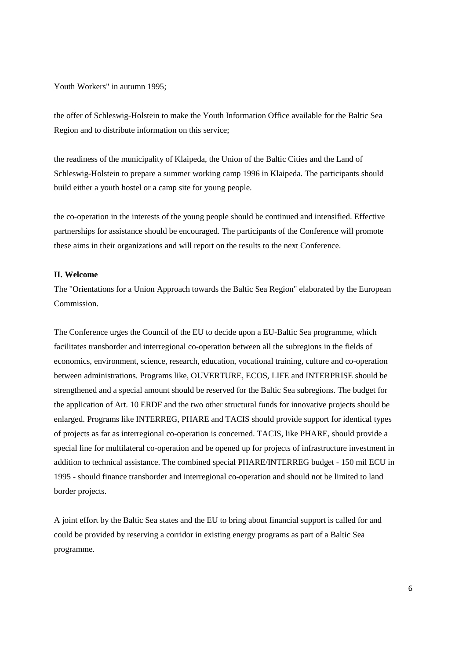Youth Workers" in autumn 1995;

the offer of Schleswig-Holstein to make the Youth Information Office available for the Baltic Sea Region and to distribute information on this service;

the readiness of the municipality of Klaipeda, the Union of the Baltic Cities and the Land of Schleswig-Holstein to prepare a summer working camp 1996 in Klaipeda. The participants should build either a youth hostel or a camp site for young people.

the co-operation in the interests of the young people should be continued and intensified. Effective partnerships for assistance should be encouraged. The participants of the Conference will promote these aims in their organizations and will report on the results to the next Conference.

#### **II. Welcome**

The "Orientations for a Union Approach towards the Baltic Sea Region" elaborated by the European Commission.

The Conference urges the Council of the EU to decide upon a EU-Baltic Sea programme, which facilitates transborder and interregional co-operation between all the subregions in the fields of economics, environment, science, research, education, vocational training, culture and co-operation between administrations. Programs like, OUVERTURE, ECOS, LIFE and INTERPRISE should be strengthened and a special amount should be reserved for the Baltic Sea subregions. The budget for the application of Art. 10 ERDF and the two other structural funds for innovative projects should be enlarged. Programs like INTERREG, PHARE and TACIS should provide support for identical types of projects as far as interregional co-operation is concerned. TACIS, like PHARE, should provide a special line for multilateral co-operation and be opened up for projects of infrastructure investment in addition to technical assistance. The combined special PHARE/INTERREG budget - 150 mil ECU in 1995 - should finance transborder and interregional co-operation and should not be limited to land border projects.

A joint effort by the Baltic Sea states and the EU to bring about financial support is called for and could be provided by reserving a corridor in existing energy programs as part of a Baltic Sea programme.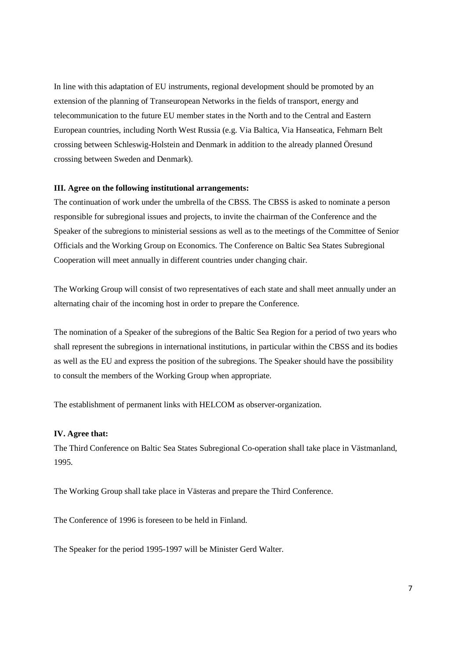In line with this adaptation of EU instruments, regional development should be promoted by an extension of the planning of Transeuropean Networks in the fields of transport, energy and telecommunication to the future EU member states in the North and to the Central and Eastern European countries, including North West Russia (e.g. Via Baltica, Via Hanseatica, Fehmarn Belt crossing between Schleswig-Holstein and Denmark in addition to the already planned Öresund crossing between Sweden and Denmark).

#### **III. Agree on the following institutional arrangements:**

The continuation of work under the umbrella of the CBSS. The CBSS is asked to nominate a person responsible for subregional issues and projects, to invite the chairman of the Conference and the Speaker of the subregions to ministerial sessions as well as to the meetings of the Committee of Senior Officials and the Working Group on Economics. The Conference on Baltic Sea States Subregional Cooperation will meet annually in different countries under changing chair.

The Working Group will consist of two representatives of each state and shall meet annually under an alternating chair of the incoming host in order to prepare the Conference.

The nomination of a Speaker of the subregions of the Baltic Sea Region for a period of two years who shall represent the subregions in international institutions, in particular within the CBSS and its bodies as well as the EU and express the position of the subregions. The Speaker should have the possibility to consult the members of the Working Group when appropriate.

The establishment of permanent links with HELCOM as observer-organization.

#### **IV. Agree that:**

The Third Conference on Baltic Sea States Subregional Co-operation shall take place in Västmanland, 1995.

The Working Group shall take place in Västeras and prepare the Third Conference.

The Conference of 1996 is foreseen to be held in Finland.

The Speaker for the period 1995-1997 will be Minister Gerd Walter.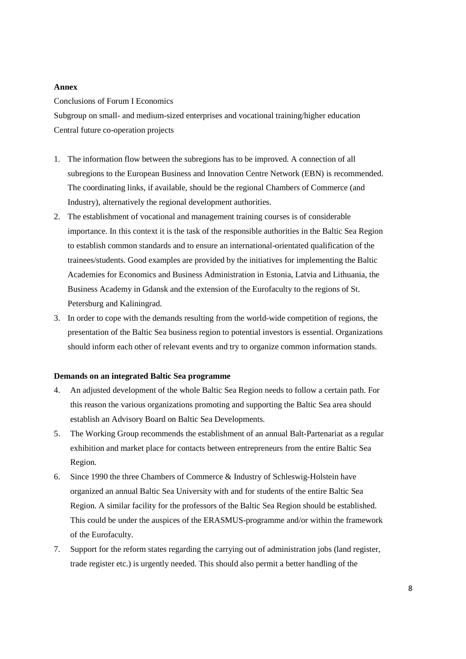#### **Annex**

#### Conclusions of Forum I Economics

Subgroup on small- and medium-sized enterprises and vocational training/higher education Central future co-operation projects

- 1. The information flow between the subregions has to be improved. A connection of all subregions to the European Business and Innovation Centre Network (EBN) is recommended. The coordinating links, if available, should be the regional Chambers of Commerce (and Industry), alternatively the regional development authorities.
- 2. The establishment of vocational and management training courses is of considerable importance. In this context it is the task of the responsible authorities in the Baltic Sea Region to establish common standards and to ensure an international-orientated qualification of the trainees/students. Good examples are provided by the initiatives for implementing the Baltic Academies for Economics and Business Administration in Estonia, Latvia and Lithuania, the Business Academy in Gdansk and the extension of the Eurofaculty to the regions of St. Petersburg and Kaliningrad.
- 3. In order to cope with the demands resulting from the world-wide competition of regions, the presentation of the Baltic Sea business region to potential investors is essential. Organizations should inform each other of relevant events and try to organize common information stands.

## **Demands on an integrated Baltic Sea programme**

- 4. An adjusted development of the whole Baltic Sea Region needs to follow a certain path. For this reason the various organizations promoting and supporting the Baltic Sea area should establish an Advisory Board on Baltic Sea Developments.
- 5. The Working Group recommends the establishment of an annual Balt-Partenariat as a regular exhibition and market place for contacts between entrepreneurs from the entire Baltic Sea Region.
- 6. Since 1990 the three Chambers of Commerce & Industry of Schleswig-Holstein have organized an annual Baltic Sea University with and for students of the entire Baltic Sea Region. A similar facility for the professors of the Baltic Sea Region should be established. This could be under the auspices of the ERASMUS-programme and/or within the framework of the Eurofaculty.
- 7. Support for the reform states regarding the carrying out of administration jobs (land register, trade register etc.) is urgently needed. This should also permit a better handling of the